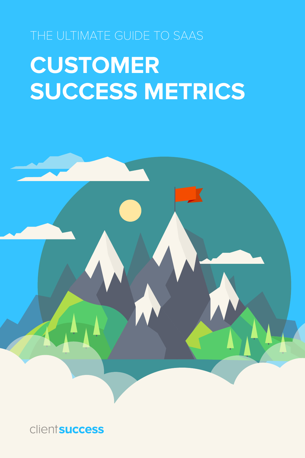## THE ULTIMATE GUIDE TO SAAS **CUSTOMER SUCCESS METRICS**



**clientsuccess**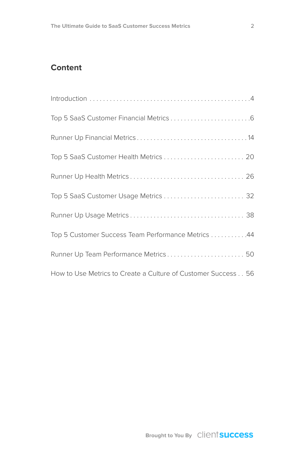#### **Content**

| Top 5 SaaS Customer Usage Metrics  32                         |
|---------------------------------------------------------------|
|                                                               |
| Top 5 Customer Success Team Performance Metrics 44            |
| Runner Up Team Performance Metrics 50                         |
| How to Use Metrics to Create a Culture of Customer Success 56 |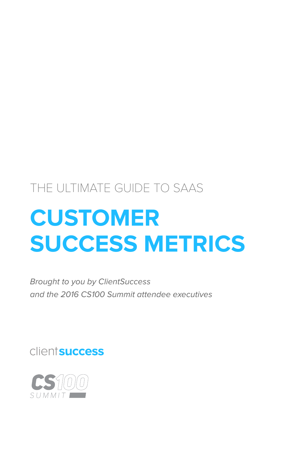### THE ULTIMATE GUIDE TO SAAS

## **CUSTOMER SUCCESS METRICS**

Brought to you by ClientSuccess and the 2016 CS100 Summit attendee executives

clientsuccess

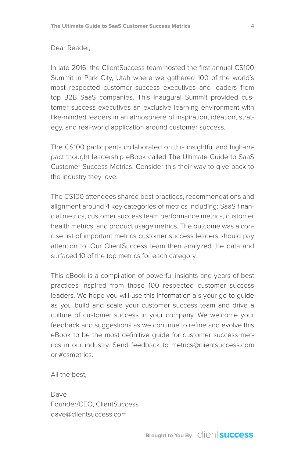#### Dear Reader,

In late 2016, the ClientSuccess team hosted the first annual CS100 Summit in Park City, Utah where we gathered 100 of the world's most respected customer success executives and leaders from top B2B SaaS companies. This inaugural Summit provided customer success executives an exclusive learning environment with like-minded leaders in an atmosphere of inspiration, ideation, strategy, and real-world application around customer success.

The CS100 participants collaborated on this insightful and high-impact thought leadership eBook called The Ultimate Guide to SaaS Customer Success Metrics. Consider this their way to give back to the industry they love.

The CS100 attendees shared best practices, recommendations and alignment around 4 key categories of metrics including: SaaS financial metrics, customer success team performance metrics, customer health metrics, and product usage metrics. The outcome was a concise list of important metrics customer success leaders should pay attention to. Our ClientSuccess team then analyzed the data and surfaced 10 of the top metrics for each category.

This eBook is a compilation of powerful insights and years of best practices inspired from those 100 respected customer success leaders. We hope you will use this information a s your go-to guide as you build and scale your customer success team and drive a culture of customer success in your company. We welcome your feedback and suggestions as we continue to refine and evolve this eBook to be the most definitive guide for customer success metrics in our industry. Send feedback to metrics@clientsuccess.com or #csmetrics.

All the best,

Dave Founder/CEO, ClientSuccess dave@clientsuccess.com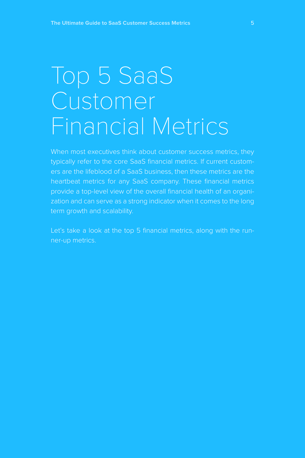### Top 5 SaaS Customer Financial Metrics

typically refer to the core SaaS financial metrics. If current customers are the lifeblood of a SaaS business, then these metrics are the heartbeat metrics for any SaaS company. These financial metrics provide a top-level view of the overall financial health of an organization and can serve as a strong indicator when it comes to the long term growth and scalability.

Let's take a look at the top 5 financial metrics, along with the runner-up metrics.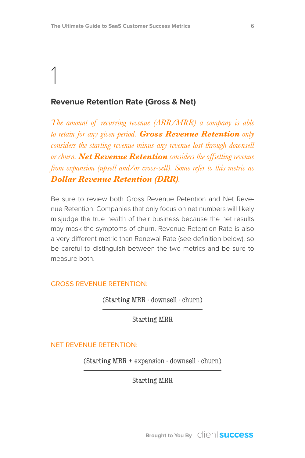#### **Revenue Retention Rate (Gross & Net)**

*The amount of recurring revenue (ARR/MRR) a company is able to retain for any given period. Gross Revenue Retention only considers the starting revenue minus any revenue lost through downsell or churn. Net Revenue Retention considers the offsetting revenue from expansion (upsell and/or cross-sell). Some refer to this metric as Dollar Revenue Retention (DRR).*

Be sure to review both Gross Revenue Retention and Net Revenue Retention. Companies that only focus on net numbers will likely misjudge the true health of their business because the net results may mask the symptoms of churn. Revenue Retention Rate is also a very different metric than Renewal Rate (see definition below), so be careful to distinguish between the two metrics and be sure to measure both.

#### GROSS REVENUE RETENTION:

(Starting MRR - downsell - churn)

Starting MRR

#### NET REVENUE RETENTION:

(Starting MRR + expansion - downsell - churn)

Starting MRR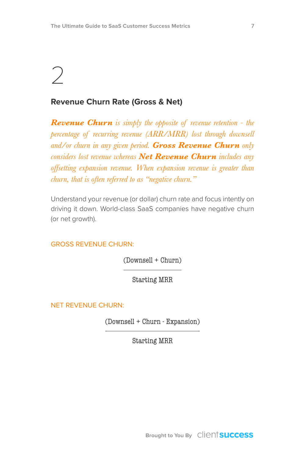### $\bigcirc$

#### **Revenue Churn Rate (Gross & Net)**

*Revenue Churn is simply the opposite of revenue retention - the percentage of recurring revenue (ARR/MRR) lost through downsell and/or churn in any given period. Gross Revenue Churn only considers lost revenue whereas Net Revenue Churn includes any offsetting expansion revenue. When expansion revenue is greater than churn, that is often referred to as "negative churn."*

Understand your revenue (or dollar) churn rate and focus intently on driving it down. World-class SaaS companies have negative churn (or net growth).

#### GROSS REVENUE CHURN:

(Downsell + Churn)

Starting MRR

NET REVENUE CHURN:

(Downsell + Churn - Expansion)

Starting MRR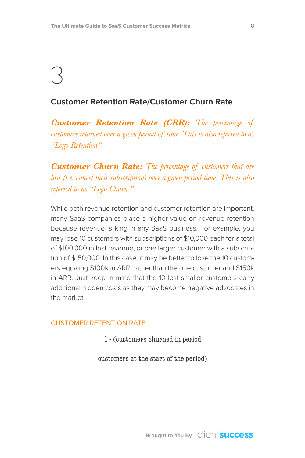#### **Customer Retention Rate/Customer Churn Rate**

*Customer Retention Rate (CRR): The percentage of customers retained over a given period of time. This is also referred to as "Logo Retention".*

*Customer Churn Rate: The percentage of customers that are lost (i.e. cancel their subscription) over a given period time. This is also referred to as "Logo Churn."*

While both revenue retention and customer retention are important, many SaaS companies place a higher value on revenue retention because revenue is king in any SaaS business. For example, you may lose 10 customers with subscriptions of \$10,000 each for a total of \$100,000 in lost revenue, or one larger customer with a subscription of \$150,000. In this case, it may be better to lose the 10 customers equaling \$100k in ARR, rather than the one customer and \$150k in ARR. Just keep in mind that the 10 lost smaller customers carry additional hidden costs as they may become negative advocates in the market.

#### CUSTOMER RETENTION RATE:

1 - (customers churned in period

customers at the start of the period)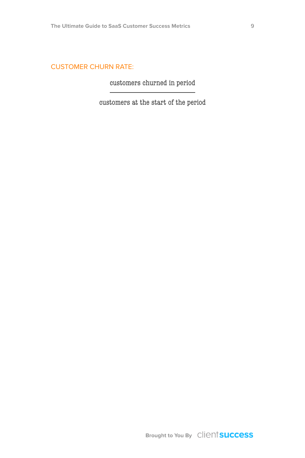#### CUSTOMER CHURN RATE:

customers churned in period

customers at the start of the period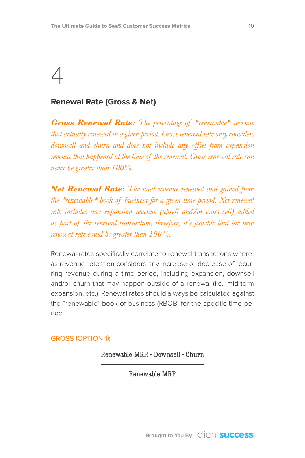#### **Renewal Rate (Gross & Net)**

*Gross Renewal Rate: The percentage of \*renewable\* revenue that actually renewed in a given period. Gross renewal rate only considers downsell and churn and does not include any offset from expansion revenue that happened at the time of the renewal. Gross renewal rate can never be greater than 100%.*

*Net Renewal Rate: The total revenue renewed and gained from the \*renewable\* book of business for a given time period. Net renewal rate includes any expansion revenue (upsell and/or cross-sell) added as part of the renewal transaction; therefore, it's feasible that the new renewal rate could be greater than 100%.*

Renewal rates specifically correlate to renewal transactions whereas revenue retention considers any increase or decrease of recurring revenue during a time period, including expansion, downsell and/or churn that may happen outside of a renewal (i.e., mid-term expansion, etc.). Renewal rates should always be calculated against the \*renewable\* book of business (RBOB) for the specific time period.

#### GROSS (OPTION 1):

Renewable MRR - Downsell - Churn

Renewable MRR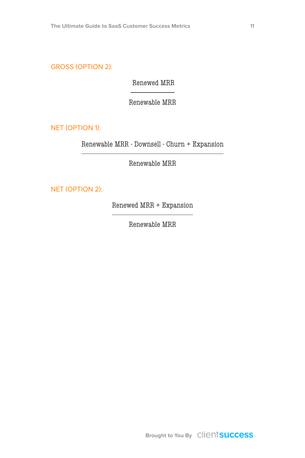GROSS (OPTION 2):

Renewed MRR

Renewable MRR

NET (OPTION 1):

Renewable MRR - Downsell - Churn + Expansion

Renewable MRR

NET (OPTION 2):

Renewed MRR + Expansion

Renewable MRR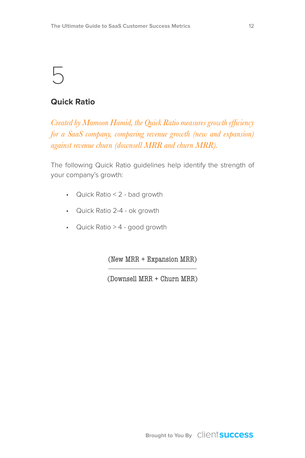#### **Quick Ratio**

*Created by Mamoon Hamid, the Quick Ratio measures growth efficiency for a SaaS company, comparing revenue growth (new and expansion) against revenue churn (downsell MRR and churn MRR).*

The following Quick Ratio guidelines help identify the strength of your company's growth:

- Quick Ratio < 2 bad growth
- Quick Ratio 2-4 ok growth
- Quick Ratio > 4 good growth

(New MRR + Expansion MRR)

(Downsell MRR + Churn MRR)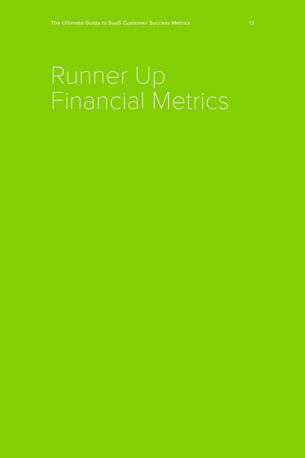## Runner Up Financial Metrics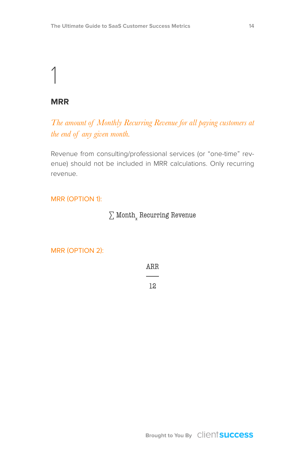#### **MRR**

*The amount of Monthly Recurring Revenue for all paying customers at the end of any given month.* 

Revenue from consulting/professional services (or "one-time" revenue) should not be included in MRR calculations. Only recurring revenue.

#### MRR (OPTION 1):

#### $\sum$  Month $_{\rm x}$  Recurring Revenue

#### MRR (OPTION 2):

ARR

12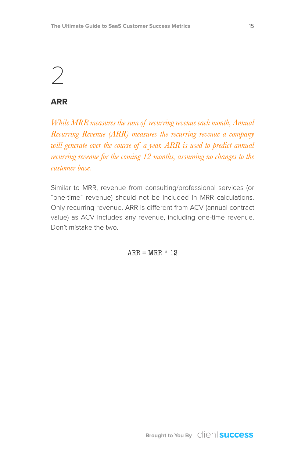### $\bigcirc$

#### **ARR**

*While MRR measures the sum of recurring revenue each month, Annual Recurring Revenue (ARR) measures the recurring revenue a company will generate over the course of a year. ARR is used to predict annual recurring revenue for the coming 12 months, assuming no changes to the customer base.*

Similar to MRR, revenue from consulting/professional services (or "one-time" revenue) should not be included in MRR calculations. Only recurring revenue. ARR is different from ACV (annual contract value) as ACV includes any revenue, including one-time revenue. Don't mistake the two.

 $ARR = MRR * 12$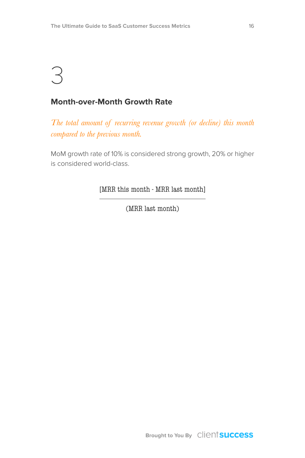#### **Month-over-Month Growth Rate**

*The total amount of recurring revenue growth (or decline) this month compared to the previous month.*

MoM growth rate of 10% is considered strong growth, 20% or higher is considered world-class.

[MRR this month - MRR last month]

(MRR last month)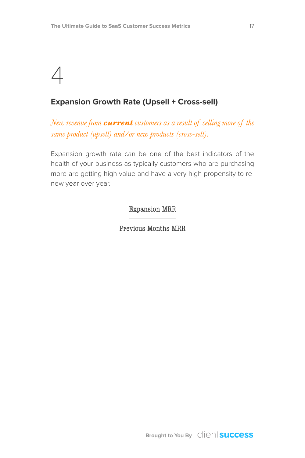### $\Delta$

#### **Expansion Growth Rate (Upsell + Cross-sell)**

*New revenue from current customers as a result of selling more of the same product (upsell) and/or new products (cross-sell).*

Expansion growth rate can be one of the best indicators of the health of your business as typically customers who are purchasing more are getting high value and have a very high propensity to renew year over year.

Expansion MRR

Previous Months MRR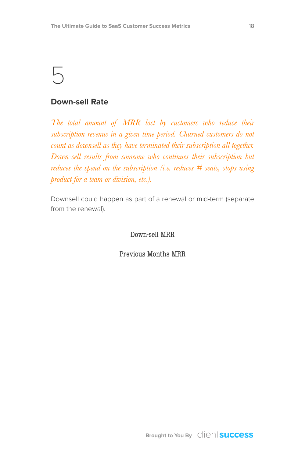#### **Down-sell Rate**

*The total amount of MRR lost by customers who reduce their subscription revenue in a given time period. Churned customers do not count as downsell as they have terminated their subscription all together. Down-sell results from someone who continues their subscription but reduces the spend on the subscription (i.e. reduces # seats, stops using product for a team or division, etc.).*

Downsell could happen as part of a renewal or mid-term (separate from the renewal).

Down-sell MRR

Previous Months MRR

**Brought to You By** Client **Success**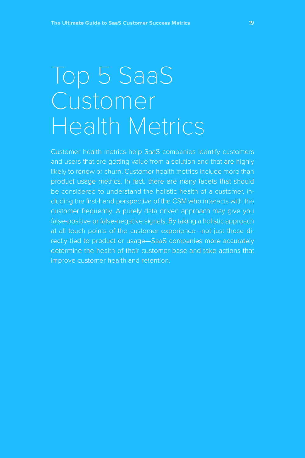## Top 5 SaaS Customer Health Metrics

Customer health metrics help SaaS companies identify customers and users that are getting value from a solution and that are highly likely to renew or churn. Customer health metrics include more than product usage metrics. In fact, there are many facets that should be considered to understand the holistic health of a customer, including the first-hand perspective of the CSM who interacts with the customer frequently. A purely data driven approach may give you false-positive or false-negative signals. By taking a holistic approach rectly tied to product or usage—SaaS companies more accurately determine the health of their customer base and take actions that improve customer health and retention.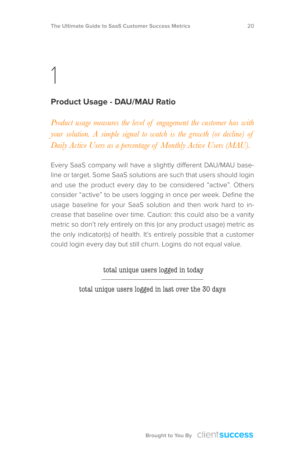### 1 **Product Usage - DAU/MAU Ratio**

*Product usage measures the level of engagement the customer has with your solution. A simple signal to watch is the growth (or decline) of Daily Active Users as a percentage of Monthly Active Users (MAU).*

Every SaaS company will have a slightly different DAU/MAU baseline or target. Some SaaS solutions are such that users should login and use the product every day to be considered "active". Others consider "active" to be users logging in once per week. Define the usage baseline for your SaaS solution and then work hard to increase that baseline over time. Caution: this could also be a vanity metric so don't rely entirely on this (or any product usage) metric as the only indicator(s) of health. It's entirely possible that a customer could login every day but still churn. Logins do not equal value.

total unique users logged in today

total unique users logged in last over the 30 days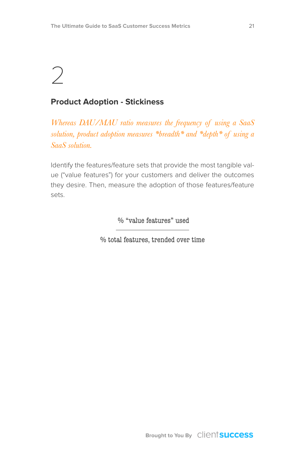### $\bigg)$

#### **Product Adoption - Stickiness**

*Whereas DAU/MAU ratio measures the frequency of using a SaaS solution, product adoption measures \*breadth\* and \*depth\* of using a SaaS solution.*

Identify the features/feature sets that provide the most tangible value ("value features") for your customers and deliver the outcomes they desire. Then, measure the adoption of those features/feature sets.

% "value features" used

% total features, trended over time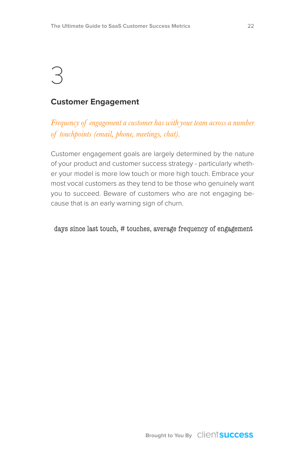#### **Customer Engagement**

*Frequency of engagement a customer has with your team across a number of touchpoints (email, phone, meetings, chat).*

Customer engagement goals are largely determined by the nature of your product and customer success strategy - particularly whether your model is more low touch or more high touch. Embrace your most vocal customers as they tend to be those who genuinely want you to succeed. Beware of customers who are not engaging because that is an early warning sign of churn.

days since last touch, # touches, average frequency of engagement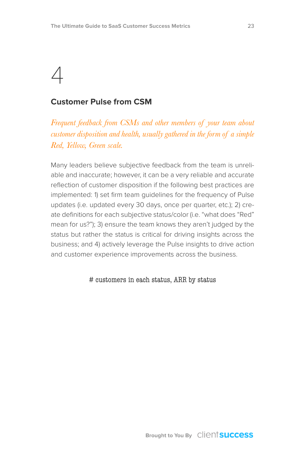#### **Customer Pulse from CSM**

*Frequent feedback from CSMs and other members of your team about customer disposition and health, usually gathered in the form of a simple Red, Yellow, Green scale.*

Many leaders believe subjective feedback from the team is unreliable and inaccurate; however, it can be a very reliable and accurate reflection of customer disposition if the following best practices are implemented: 1) set firm team guidelines for the frequency of Pulse updates (i.e. updated every 30 days, once per quarter, etc.); 2) create definitions for each subjective status/color (i.e. "what does "Red" mean for us?"); 3) ensure the team knows they aren't judged by the status but rather the status is critical for driving insights across the business; and 4) actively leverage the Pulse insights to drive action and customer experience improvements across the business.

#### # customers in each status, ARR by status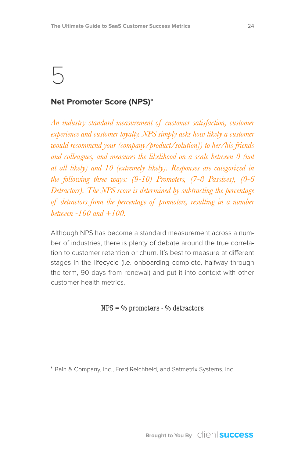#### **Net Promoter Score (NPS)\***

*An industry standard measurement of customer satisfaction, customer experience and customer loyalty. NPS simply asks how likely a customer would recommend your (company/product/solution]) to her/his friends and colleagues, and measures the likelihood on a scale between 0 (not at all likely) and 10 (extremely likely). Responses are categorized in the following three ways: (9-10) Promoters, (7-8 Passives), (0-6 Detractors). The NPS score is determined by subtracting the percentage of detractors from the percentage of promoters, resulting in a number between -100 and +100.*

Although NPS has become a standard measurement across a number of industries, there is plenty of debate around the true correlation to customer retention or churn. It's best to measure at different stages in the lifecycle (i.e. onboarding complete, halfway through the term, 90 days from renewal) and put it into context with other customer health metrics.

NPS = % promoters - % detractors

\* Bain & Company, Inc., Fred Reichheld, and Satmetrix Systems, Inc.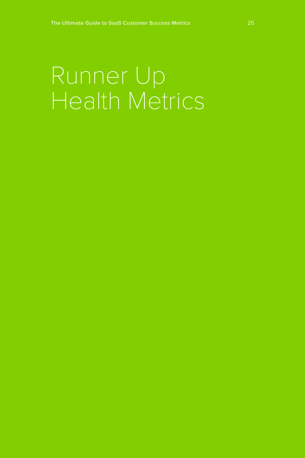## Runner Up Health Metrics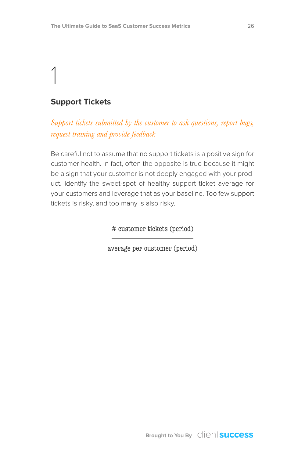#### **Support Tickets**

*Support tickets submitted by the customer to ask questions, report bugs, request training and provide feedback*

Be careful not to assume that no support tickets is a positive sign for customer health. In fact, often the opposite is true because it might be a sign that your customer is not deeply engaged with your product. Identify the sweet-spot of healthy support ticket average for your customers and leverage that as your baseline. Too few support tickets is risky, and too many is also risky.

# customer tickets (period)

average per customer (period)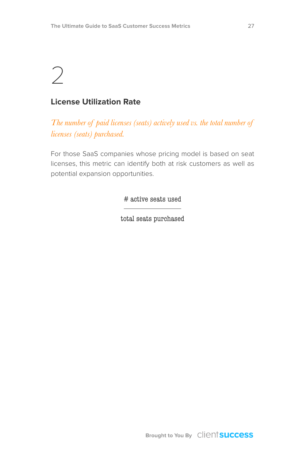#### **License Utilization Rate**

*The number of paid licenses (seats) actively used vs. the total number of licenses (seats) purchased.*

For those SaaS companies whose pricing model is based on seat licenses, this metric can identify both at risk customers as well as potential expansion opportunities.

# active seats used

total seats purchased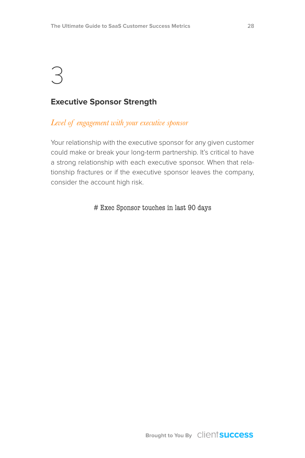#### **Executive Sponsor Strength**

#### *Level of engagement with your executive sponsor*

Your relationship with the executive sponsor for any given customer could make or break your long-term partnership. It's critical to have a strong relationship with each executive sponsor. When that relationship fractures or if the executive sponsor leaves the company, consider the account high risk.

# Exec Sponsor touches in last 90 days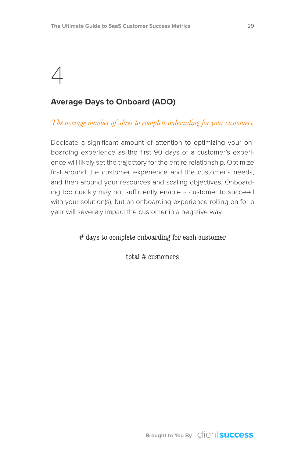#### **Average Days to Onboard (ADO)**

*The average number of days to complete onboarding for your customers.*

Dedicate a significant amount of attention to optimizing your onboarding experience as the first 90 days of a customer's experience will likely set the trajectory for the entire relationship. Optimize first around the customer experience and the customer's needs, and then around your resources and scaling objectives. Onboarding too quickly may not sufficiently enable a customer to succeed with your solution(s), but an onboarding experience rolling on for a year will severely impact the customer in a negative way.

# days to complete onboarding for each customer

total # customers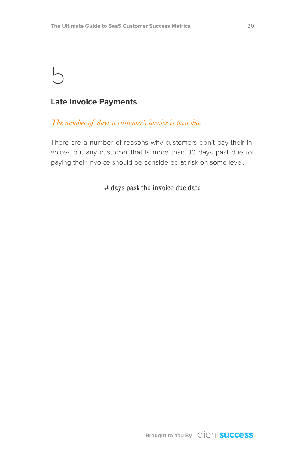#### **Late Invoice Payments**

#### *The number of days a customer's invoice is past due.*

There are a number of reasons why customers don't pay their invoices but any customer that is more than 30 days past due for paying their invoice should be considered at risk on some level.

#### # days past the invoice due date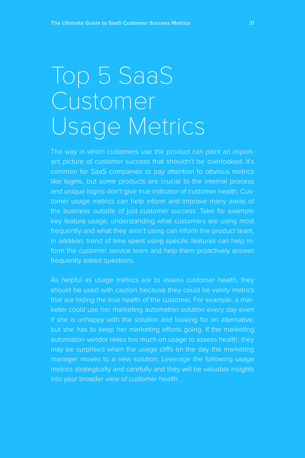## Top 5 SaaS Customer Usage Metrics

The way in which customers use the product can paint an important picture of customer success that shouldn't be overlooked. It's common for SaaS companies to pay attention to obvious metrics like logins, but some products are crucial to the internal process and unique logins don't give true indicator of customer health. Customer usage metrics can help inform and improve many areas of the business outside of just customer success. Take for example key feature usage: understanding what customers are using most frequently and what they aren't using can inform the product team. In addition, trend of time spent using specific features can help infrequently asked questions.

As helpful as usage metrics are to assess customer health, they should be used with caution because they could be vanity metrics that are hiding the true health of the customer. For example, a marif she is unhappy with the solution and looking for an alternative, but she has to keep her marketing efforts going. If the marketing automation vendor relies too much on usage to assess health, they may be surprised when the usage cliffs on the day the marketing manager moves to a new solution. Leverage the following usage metrics strategically and carefully and they will be valuable insights into your broader view of customer health.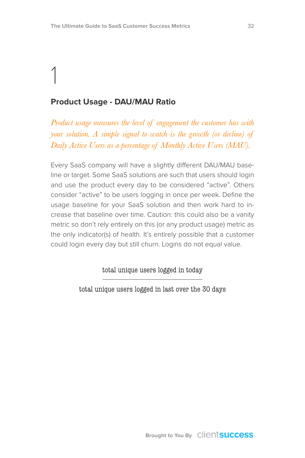### 1 **Product Usage - DAU/MAU Ratio**

*Product usage measures the level of engagement the customer has with your solution. A simple signal to watch is the growth (or decline) of Daily Active Users as a percentage of Monthly Active Users (MAU).*

Every SaaS company will have a slightly different DAU/MAU baseline or target. Some SaaS solutions are such that users should login and use the product every day to be considered "active". Others consider "active" to be users logging in once per week. Define the usage baseline for your SaaS solution and then work hard to increase that baseline over time. Caution: this could also be a vanity metric so don't rely entirely on this (or any product usage) metric as the only indicator(s) of health. It's entirely possible that a customer could login every day but still churn. Logins do not equal value.

total unique users logged in today

total unique users logged in last over the 30 days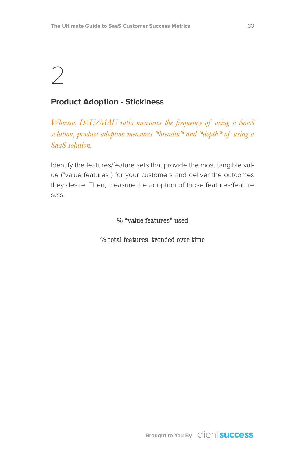### $\bigg)$

#### **Product Adoption - Stickiness**

*Whereas DAU/MAU ratio measures the frequency of using a SaaS solution, product adoption measures \*breadth\* and \*depth\* of using a SaaS solution.*

Identify the features/feature sets that provide the most tangible value ("value features") for your customers and deliver the outcomes they desire. Then, measure the adoption of those features/feature sets.

% "value features" used

% total features, trended over time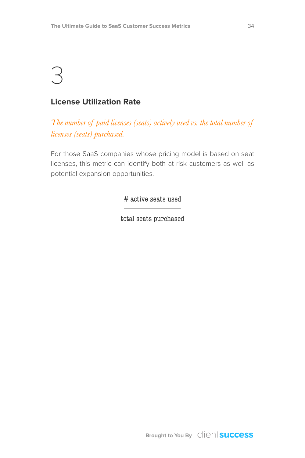#### **License Utilization Rate**

*The number of paid licenses (seats) actively used vs. the total number of licenses (seats) purchased.*

For those SaaS companies whose pricing model is based on seat licenses, this metric can identify both at risk customers as well as potential expansion opportunities.

# active seats used

total seats purchased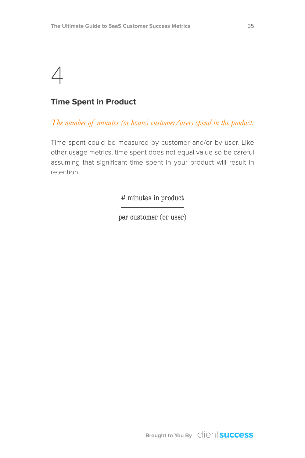### $\angle$

#### **Time Spent in Product**

*The number of minutes (or hours) customer/users spend in the product.*

Time spent could be measured by customer and/or by user. Like other usage metrics, time spent does not equal value so be careful assuming that significant time spent in your product will result in retention.

# minutes in product

per customer (or user)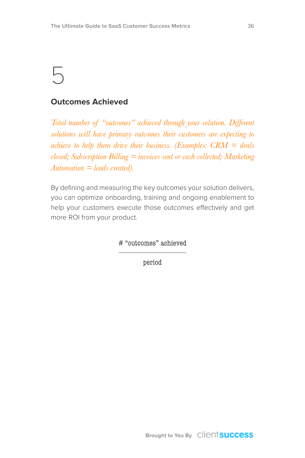#### **Outcomes Achieved**

*Total number of "outcomes" achieved through your solution. Different solutions will have primary outcomes their customers are expecting to achieve to help them drive their business. (Examples: CRM = deals closed; Subscription Billing = invoices sent or cash collected; Marketing Automation = leads created).*

By defining and measuring the key outcomes your solution delivers, you can optimize onboarding, training and ongoing enablement to help your customers execute those outcomes effectively and get more ROI from your product.

# "outcomes" achieved

period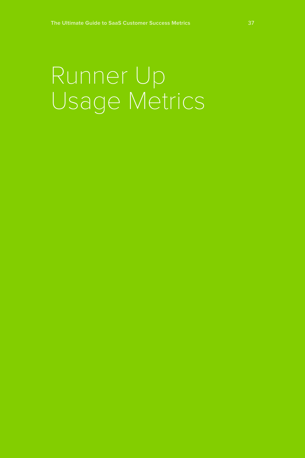## Runner Up Usage Metrics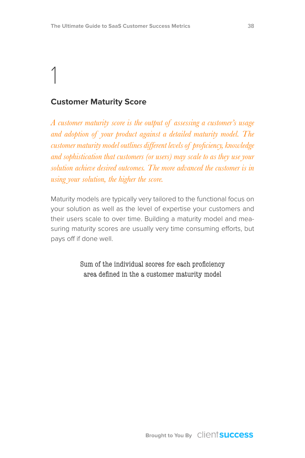#### **Customer Maturity Score**

*A customer maturity score is the output of assessing a customer's usage and adoption of your product against a detailed maturity model. The customer maturity model outlines different levels of proficiency, knowledge and sophistication that customers (or users) may scale to as they use your solution achieve desired outcomes. The more advanced the customer is in using your solution, the higher the score.*

Maturity models are typically very tailored to the functional focus on your solution as well as the level of expertise your customers and their users scale to over time. Building a maturity model and measuring maturity scores are usually very time consuming efforts, but pays off if done well.

> Sum of the individual scores for each proficiency area defined in the a customer maturity model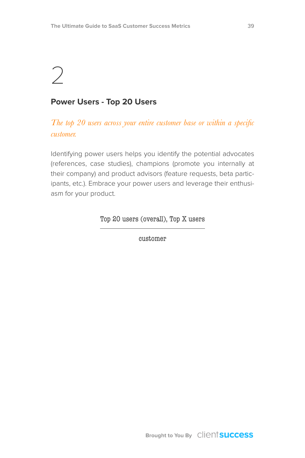### $\bigg)$

#### **Power Users - Top 20 Users**

#### *The top 20 users across your entire customer base or within a specific customer.*

Identifying power users helps you identify the potential advocates (references, case studies), champions (promote you internally at their company) and product advisors (feature requests, beta participants, etc.). Embrace your power users and leverage their enthusiasm for your product.

Top 20 users (overall), Top X users

customer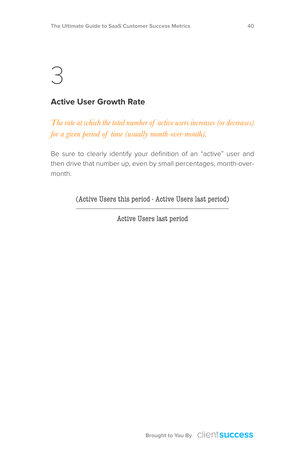#### **Active User Growth Rate**

*The rate at which the total number of active users increases (or decreases) for a given period of time (usually month-over-month).*

Be sure to clearly identify your definition of an "active" user and then drive that number up, even by small percentages, month-overmonth.

(Active Users this period - Active Users last period)

Active Users last period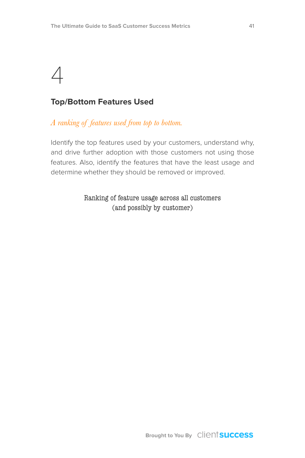### $\Delta$

#### **Top/Bottom Features Used**

#### *A ranking of features used from top to bottom.*

Identify the top features used by your customers, understand why, and drive further adoption with those customers not using those features. Also, identify the features that have the least usage and determine whether they should be removed or improved.

#### Ranking of feature usage across all customers (and possibly by customer)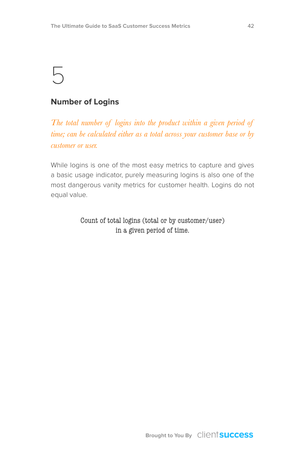#### **Number of Logins**

*The total number of logins into the product within a given period of time; can be calculated either as a total across your customer base or by customer or user.*

While logins is one of the most easy metrics to capture and gives a basic usage indicator, purely measuring logins is also one of the most dangerous vanity metrics for customer health. Logins do not equal value.

> Count of total logins (total or by customer/user) in a given period of time.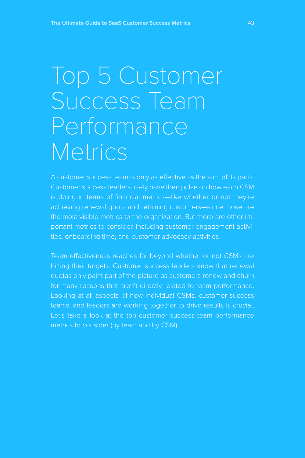## Top 5 Customer Success Team Performance **Metrics**

A customer success team is only as effective as the sum of its parts. Customer success leaders likely have their pulse on how each CSM achieving renewal quota and retaining customers—since those are the most visible metrics to the organization. But there are other important metrics to consider, including customer engagement activities, onboarding time, and customer advocacy activities.

Team effectiveness reaches far beyond whether or not CSMs are hitting their targets. Customer success leaders know that renewal quotas only paint part of the picture as customers renew and churn Looking at all aspects of how individual CSMs, customer success teams, and leaders are working together to drive results is crucial. metrics to consider (by team and by CSM):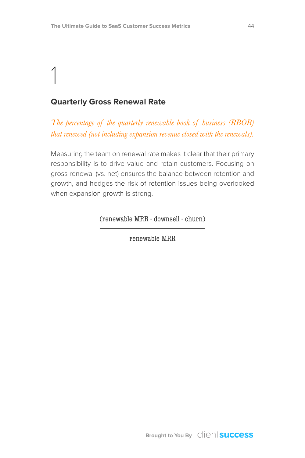#### **Quarterly Gross Renewal Rate**

*The percentage of the quarterly renewable book of business (RBOB) that renewed (not including expansion revenue closed with the renewals).*

Measuring the team on renewal rate makes it clear that their primary responsibility is to drive value and retain customers. Focusing on gross renewal (vs. net) ensures the balance between retention and growth, and hedges the risk of retention issues being overlooked when expansion growth is strong.

(renewable MRR - downsell - churn)

renewable MRR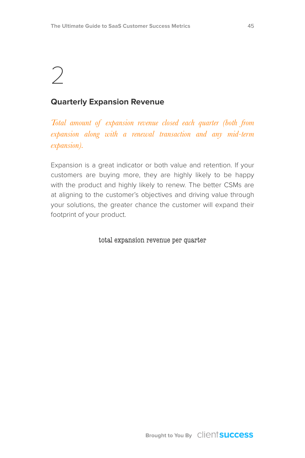### $\bigg)$

#### **Quarterly Expansion Revenue**

*Total amount of expansion revenue closed each quarter (both from expansion along with a renewal transaction and any mid-term expansion).*

Expansion is a great indicator or both value and retention. If your customers are buying more, they are highly likely to be happy with the product and highly likely to renew. The better CSMs are at aligning to the customer's objectives and driving value through your solutions, the greater chance the customer will expand their footprint of your product.

total expansion revenue per quarter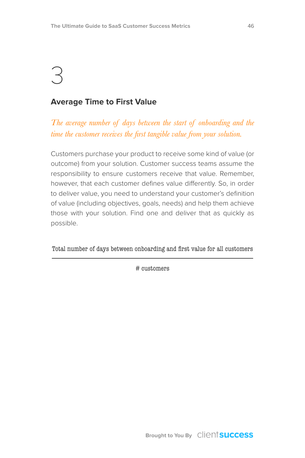#### **Average Time to First Value**

*The average number of days between the start of onboarding and the time the customer receives the first tangible value from your solution.*

Customers purchase your product to receive some kind of value (or outcome) from your solution. Customer success teams assume the responsibility to ensure customers receive that value. Remember, however, that each customer defines value differently. So, in order to deliver value, you need to understand your customer's definition of value (including objectives, goals, needs) and help them achieve those with your solution. Find one and deliver that as quickly as possible.

Total number of days between onboarding and first value for all customers

# customers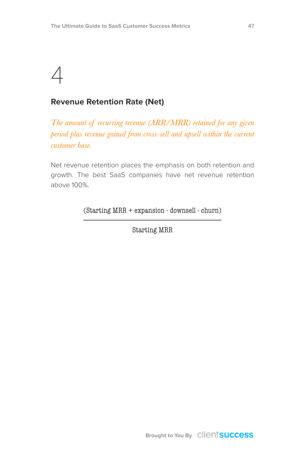### $\angle$

#### **Revenue Retention Rate (Net)**

*The amount of recurring revenue (ARR/MRR) retained for any given period plus revenue gained from cross-sell and upsell within the current customer base.*

Net revenue retention places the emphasis on both retention and growth. The best SaaS companies have net revenue retention above 100%.

(Starting MRR + expansion - downsell - churn)

Starting MRR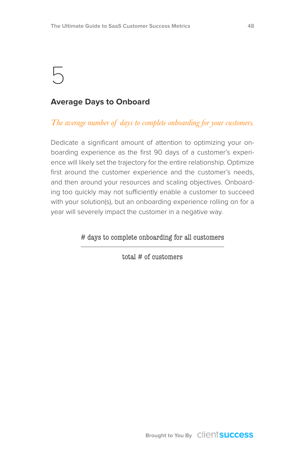#### **Average Days to Onboard**

*The average number of days to complete onboarding for your customers.*

Dedicate a significant amount of attention to optimizing your onboarding experience as the first 90 days of a customer's experience will likely set the trajectory for the entire relationship. Optimize first around the customer experience and the customer's needs, and then around your resources and scaling objectives. Onboarding too quickly may not sufficiently enable a customer to succeed with your solution(s), but an onboarding experience rolling on for a year will severely impact the customer in a negative way.

# days to complete onboarding for all customers

total # of customers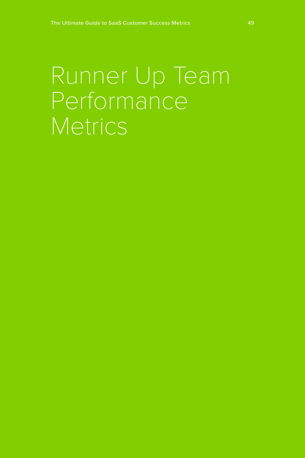### Runner Up Team Performance Metrics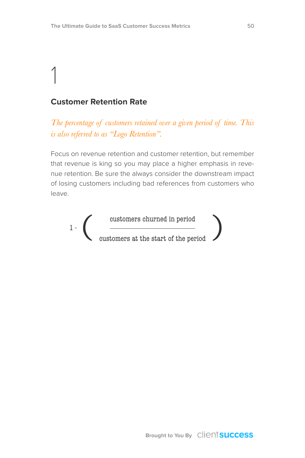#### **Customer Retention Rate**

*The percentage of customers retained over a given period of time. This is also referred to as "Logo Retention".*

Focus on revenue retention and customer retention, but remember that revenue is king so you may place a higher emphasis in revenue retention. Be sure the always consider the downstream impact of losing customers including bad references from customers who leave.

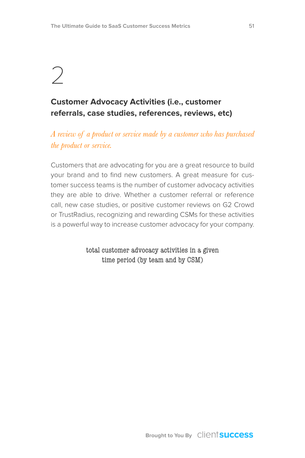### $\bigcirc$

#### **Customer Advocacy Activities (i.e., customer referrals, case studies, references, reviews, etc)**

*A review of a product or service made by a customer who has purchased the product or service.*

Customers that are advocating for you are a great resource to build your brand and to find new customers. A great measure for customer success teams is the number of customer advocacy activities they are able to drive. Whether a customer referral or reference call, new case studies, or positive customer reviews on G2 Crowd or TrustRadius, recognizing and rewarding CSMs for these activities is a powerful way to increase customer advocacy for your company.

> total customer advocacy activities in a given time period (by team and by CSM)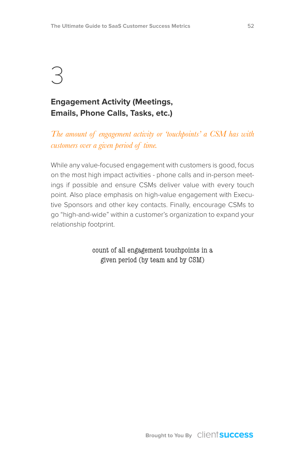#### **Engagement Activity (Meetings, Emails, Phone Calls, Tasks, etc.)**

#### *The amount of engagement activity or 'touchpoints' a CSM has with customers over a given period of time.*

While any value-focused engagement with customers is good, focus on the most high impact activities - phone calls and in-person meetings if possible and ensure CSMs deliver value with every touch point. Also place emphasis on high-value engagement with Executive Sponsors and other key contacts. Finally, encourage CSMs to go "high-and-wide" within a customer's organization to expand your relationship footprint.

> count of all engagement touchpoints in a given period (by team and by CSM)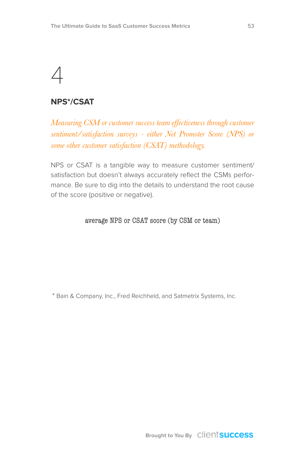#### **NPS\*/CSAT**

*Measuring CSM or customer success team effectiveness through customer sentiment/satisfaction surveys - either Net Promoter Score (NPS) or some other customer satisfaction (CSAT) methodology.*

NPS or CSAT is a tangible way to measure customer sentiment/ satisfaction but doesn't always accurately reflect the CSMs performance. Be sure to dig into the details to understand the root cause of the score (positive or negative).

#### average NPS or CSAT score (by CSM or team)

\* Bain & Company, Inc., Fred Reichheld, and Satmetrix Systems, Inc.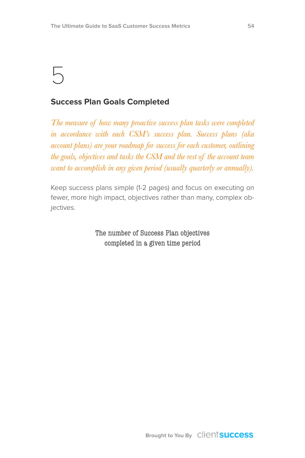#### **Success Plan Goals Completed**

*The measure of how many proactive success plan tasks were completed in accordance with each CSM's success plan. Success plans (aka account plans) are your roadmap for success for each customer, outlining the goals, objectives and tasks the CSM and the rest of the account team want to accomplish in any given period (usually quarterly or annually).*

Keep success plans simple (1-2 pages) and focus on executing on fewer, more high impact, objectives rather than many, complex objectives.

> The number of Success Plan objectives completed in a given time period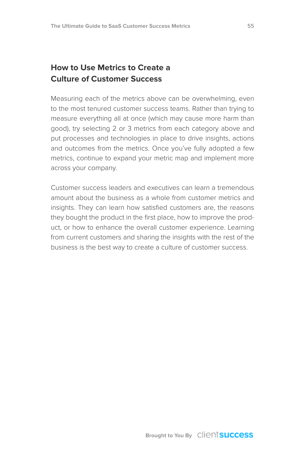#### **How to Use Metrics to Create a Culture of Customer Success**

Measuring each of the metrics above can be overwhelming, even to the most tenured customer success teams. Rather than trying to measure everything all at once (which may cause more harm than good), try selecting 2 or 3 metrics from each category above and put processes and technologies in place to drive insights, actions and outcomes from the metrics. Once you've fully adopted a few metrics, continue to expand your metric map and implement more across your company.

Customer success leaders and executives can learn a tremendous amount about the business as a whole from customer metrics and insights. They can learn how satisfied customers are, the reasons they bought the product in the first place, how to improve the product, or how to enhance the overall customer experience. Learning from current customers and sharing the insights with the rest of the business is the best way to create a culture of customer success.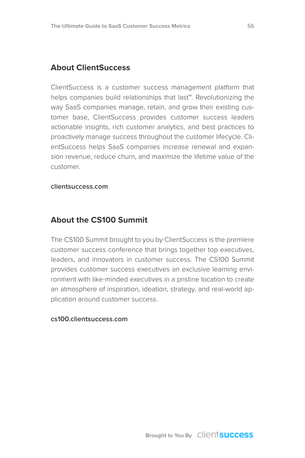#### **About ClientSuccess**

ClientSuccess is a customer success management platform that helps companies build relationships that last™. Revolutionizing the way SaaS companies manage, retain, and grow their existing customer base, ClientSuccess provides customer success leaders actionable insights, rich customer analytics, and best practices to proactively manage success throughout the customer lifecycle. ClientSuccess helps SaaS companies increase renewal and expansion revenue, reduce churn, and maximize the lifetime value of the customer.

#### **[clientsuccess.com](https://www.clientsuccess.com)**

#### **About the CS100 Summit**

The CS100 Summit brought to you by ClientSuccess is the premiere customer success conference that brings together top executives, leaders, and innovators in customer success. The CS100 Summit provides customer success executives an exclusive learning environment with like-minded executives in a pristine location to create an atmosphere of inspiration, ideation, strategy, and real-world application around customer success.

#### **[cs100.clientsuccess.com](http://cs100.clientsuccess.com)**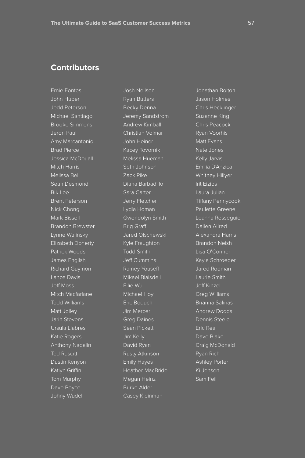#### **Contributors**

Ernie Fontes John Huber Jedd Peterson Michael Santiago Brooke Simmons Jeron Paul Amy Marcantonio Brad Pierce Jessica McDouall Mitch Harris Melissa Bell Sean Desmond Bik Lee Brent Peterson Nick Chong Mark Bissell Brandon Brewster Lynne Walinsky Elizabeth Doherty Patrick Woods James English Richard Guymon Lance Davis Jeff Moss Mitch Macfarlane Todd Williams Matt Jolley Jarin Stevens Ursula Llabres Katie Rogers Anthony Nadalin Ted Ruscitti Dustin Kenyon Katlyn Griffin Tom Murphy Dave Boyce Johny Wudel

Josh Neilsen Ryan Butters Becky Denna Jeremy Sandstrom Andrew Kimball Christian Volmar John Heiner Kacey Tovornik Melissa Hueman Seth Johnson Zack Pike Diana Barbadillo Sara Carter Jerry Fletcher Lydia Homan Gwendolyn Smith Brig Graff Jared Olschewski Kyle Fraughton Todd Smith Jeff Cummins Ramey Youseff Mikael Blaisdell Ellie Wu Michael Hoy Eric Boduch Jim Mercer Greg Daines Sean Pickett Jim Kelly David Ryan Rusty Atkinson Emily Hayes Heather MacBride Megan Heinz Burke Alder Casey Kleinman

Jonathan Bolton Jason Holmes Chris Hecklinger Suzanne King Chris Peacock Ryan Voorhis Matt Evans Nate Jones Kelly Jarvis Emilia D'Anzica Whitney Hillyer Irit Eizips Tiffany Pennycook Paulette Greene Leanna Resseguie Dallen Allred Alexandra Harris Brandon Neish Lisa O'Conner Kayla Schroeder Jared Rodman Laurie Smith Jeff Kinzel Greg Williams Brianna Salinas Andrew Dodds Dennis Steele Eric Rea Dave Blake Craig McDonald Ryan Rich Ashley Porter Ki Jensen Sam Feil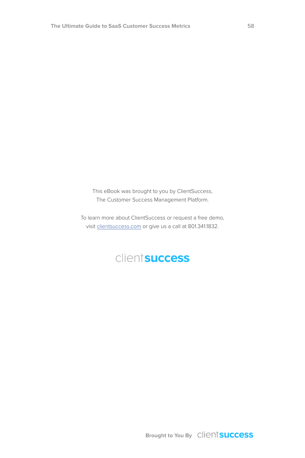This eBook was brought to you by [ClientSuccess](https://www.clientsuccess.com), The Customer Success Management Platform.

To learn more about ClientSuccess or request a free demo, visit [clientsuccess.com](http://www.clientsuccess.com) or give us a call at 801.341.1832.

#### clientsuccess